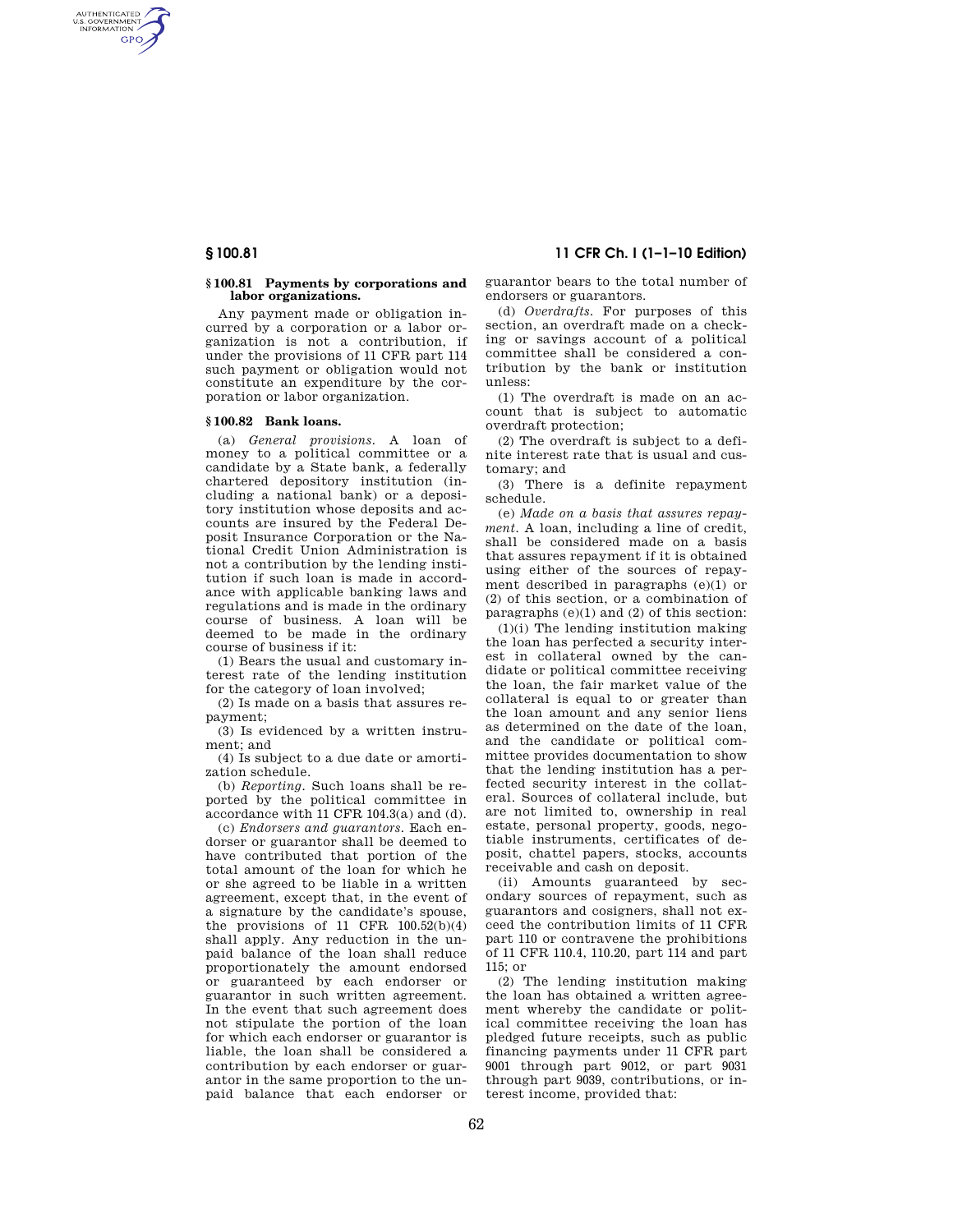AUTHENTICATED<br>U.S. GOVERNMENT<br>INFORMATION **GPO** 

## **§ 100.81 Payments by corporations and labor organizations.**

Any payment made or obligation incurred by a corporation or a labor organization is not a contribution, if under the provisions of 11 CFR part 114 such payment or obligation would not constitute an expenditure by the corporation or labor organization.

### **§ 100.82 Bank loans.**

(a) *General provisions.* A loan of money to a political committee or a candidate by a State bank, a federally chartered depository institution (including a national bank) or a depository institution whose deposits and accounts are insured by the Federal Deposit Insurance Corporation or the National Credit Union Administration is not a contribution by the lending institution if such loan is made in accordance with applicable banking laws and regulations and is made in the ordinary course of business. A loan will be deemed to be made in the ordinary course of business if it:

(1) Bears the usual and customary interest rate of the lending institution for the category of loan involved;

(2) Is made on a basis that assures repayment;

(3) Is evidenced by a written instrument; and

(4) Is subject to a due date or amortization schedule.

(b) *Reporting.* Such loans shall be reported by the political committee in accordance with 11 CFR 104.3(a) and (d).

(c) *Endorsers and guarantors.* Each endorser or guarantor shall be deemed to have contributed that portion of the total amount of the loan for which he or she agreed to be liable in a written agreement, except that, in the event of a signature by the candidate's spouse, the provisions of 11 CFR  $100.52(b)(4)$ shall apply. Any reduction in the unpaid balance of the loan shall reduce proportionately the amount endorsed or guaranteed by each endorser or guarantor in such written agreement. In the event that such agreement does not stipulate the portion of the loan for which each endorser or guarantor is liable, the loan shall be considered a contribution by each endorser or guarantor in the same proportion to the unpaid balance that each endorser or

**§ 100.81 11 CFR Ch. I (1–1–10 Edition)** 

guarantor bears to the total number of endorsers or guarantors.

(d) *Overdrafts.* For purposes of this section, an overdraft made on a checking or savings account of a political committee shall be considered a contribution by the bank or institution unless:

(1) The overdraft is made on an account that is subject to automatic overdraft protection;

(2) The overdraft is subject to a definite interest rate that is usual and customary; and

(3) There is a definite repayment schedule.

(e) *Made on a basis that assures repayment.* A loan, including a line of credit, shall be considered made on a basis that assures repayment if it is obtained using either of the sources of repayment described in paragraphs (e)(1) or (2) of this section, or a combination of paragraphs (e)(1) and (2) of this section:

(1)(i) The lending institution making the loan has perfected a security interest in collateral owned by the candidate or political committee receiving the loan, the fair market value of the collateral is equal to or greater than the loan amount and any senior liens as determined on the date of the loan, and the candidate or political committee provides documentation to show that the lending institution has a perfected security interest in the collateral. Sources of collateral include, but are not limited to, ownership in real estate, personal property, goods, negotiable instruments, certificates of deposit, chattel papers, stocks, accounts receivable and cash on deposit.

(ii) Amounts guaranteed by secondary sources of repayment, such as guarantors and cosigners, shall not exceed the contribution limits of 11 CFR part 110 or contravene the prohibitions of 11 CFR 110.4, 110.20, part 114 and part  $115$ ; or

(2) The lending institution making the loan has obtained a written agreement whereby the candidate or political committee receiving the loan has pledged future receipts, such as public financing payments under 11 CFR part 9001 through part 9012, or part 9031 through part 9039, contributions, or interest income, provided that: